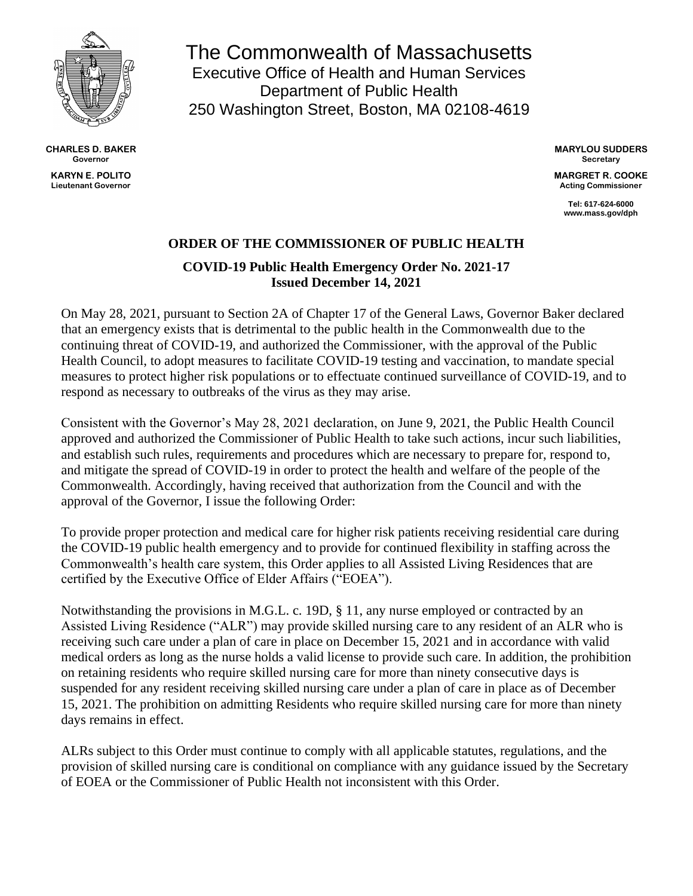

**CHARLES D. BAKER Governor KARYN E. POLITO Lieutenant Governor**

The Commonwealth of Massachusetts Executive Office of Health and Human Services Department of Public Health 250 Washington Street, Boston, MA 02108-4619

> **MARYLOU SUDDERS Secretary**

> **MARGRET R. COOKE Acting Commissioner**

> > **Tel: 617-624-6000 www.mass.gov/dph**

## **ORDER OF THE COMMISSIONER OF PUBLIC HEALTH**

**COVID-19 Public Health Emergency Order No. 2021-17 Issued December 14, 2021**

On May 28, 2021, pursuant to Section 2A of Chapter 17 of the General Laws, Governor Baker declared that an emergency exists that is detrimental to the public health in the Commonwealth due to the continuing threat of COVID-19, and authorized the Commissioner, with the approval of the Public Health Council, to adopt measures to facilitate COVID-19 testing and vaccination, to mandate special measures to protect higher risk populations or to effectuate continued surveillance of COVID-19, and to respond as necessary to outbreaks of the virus as they may arise.

Consistent with the Governor's May 28, 2021 declaration, on June 9, 2021, the Public Health Council approved and authorized the Commissioner of Public Health to take such actions, incur such liabilities, and establish such rules, requirements and procedures which are necessary to prepare for, respond to, and mitigate the spread of COVID-19 in order to protect the health and welfare of the people of the Commonwealth. Accordingly, having received that authorization from the Council and with the approval of the Governor, I issue the following Order:

To provide proper protection and medical care for higher risk patients receiving residential care during the COVID-19 public health emergency and to provide for continued flexibility in staffing across the Commonwealth's health care system, this Order applies to all Assisted Living Residences that are certified by the Executive Office of Elder Affairs ("EOEA").

Notwithstanding the provisions in M.G.L. c. 19D, § 11, any nurse employed or contracted by an Assisted Living Residence ("ALR") may provide skilled nursing care to any resident of an ALR who is receiving such care under a plan of care in place on December 15, 2021 and in accordance with valid medical orders as long as the nurse holds a valid license to provide such care. In addition, the prohibition on retaining residents who require skilled nursing care for more than ninety consecutive days is suspended for any resident receiving skilled nursing care under a plan of care in place as of December 15, 2021. The prohibition on admitting Residents who require skilled nursing care for more than ninety days remains in effect.

ALRs subject to this Order must continue to comply with all applicable statutes, regulations, and the provision of skilled nursing care is conditional on compliance with any guidance issued by the Secretary of EOEA or the Commissioner of Public Health not inconsistent with this Order.